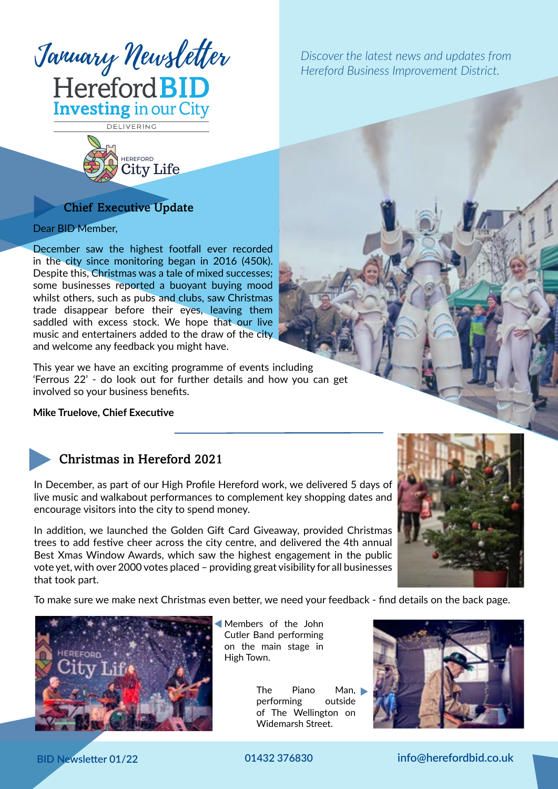

*Hereford Business Improvement District.*

DELIVERING



## Chief Executive Update

Dear BID Member,

December saw the highest footfall ever recorded in the city since monitoring began in 2016 (450k). Despite this, Christmas was a tale of mixed successes; some businesses reported a buoyant buying mood whilst others, such as pubs and clubs, saw Christmas trade disappear before their eyes, leaving them saddled with excess stock. We hope that our live music and entertainers added to the draw of the city and welcome any feedback you might have.

This year we have an exciting programme of events including 'Ferrous 22' - do look out for further details and how you can get involved so your business benefits.

#### **Mike Truelove, Chief Executive**



## Christmas in Hereford 2021

In December, as part of our High Profile Hereford work, we delivered 5 days of live music and walkabout performances to complement key shopping dates and encourage visitors into the city to spend money.

In addition, we launched the Golden Gift Card Giveaway, provided Christmas trees to add festive cheer across the city centre, and delivered the 4th annual Best Xmas Window Awards, which saw the highest engagement in the public vote yet, with over 2000 votes placed – providing great visibility for all businesses that took part.



To make sure we make next Christmas even better, we need your feedback - find details on the back page.



Members of the John Cutler Band performing on the main stage in High Town.

> The Piano Man, performing outside of The Wellington on Widemarsh Street.



**BID Newsletter 01/22 01432 376830 info@herefordbid.co.uk**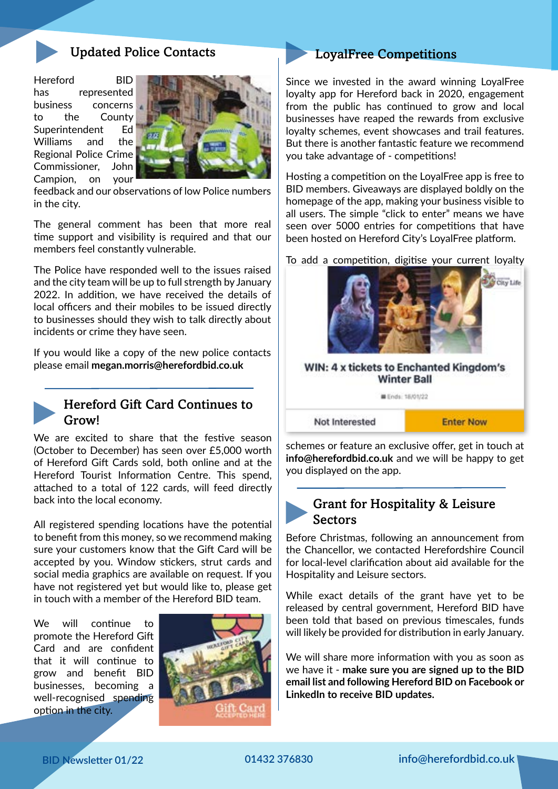

#### Updated Police Contacts

Hereford BID has represented business concerns to the County Superintendent Ed Williams and the Regional Police Crime Commissioner, John Campion, on your



feedback and our observations of low Police numbers in the city.

The general comment has been that more real time support and visibility is required and that our members feel constantly vulnerable.

The Police have responded well to the issues raised and the city team will be up to full strength by January 2022. In addition, we have received the details of local officers and their mobiles to be issued directly to businesses should they wish to talk directly about incidents or crime they have seen.

If you would like a copy of the new police contacts please email **megan.morris@herefordbid.co.uk**



### Hereford Gift Card Continues to Grow!

We are excited to share that the festive season (October to December) has seen over £5,000 worth of Hereford Gift Cards sold, both online and at the Hereford Tourist Information Centre. This spend, attached to a total of 122 cards, will feed directly back into the local economy.

All registered spending locations have the potential to benefit from this money, so we recommend making sure your customers know that the Gift Card will be accepted by you. Window stickers, strut cards and social media graphics are available on request. If you have not registered yet but would like to, please get in touch with a member of the Hereford BID team.

We will continue to promote the Hereford Gift Card and are confident that it will continue to grow and benefit BID businesses, becoming a well-recognised spending option in the city.



#### LoyalFree Competitions

Since we invested in the award winning LoyalFree loyalty app for Hereford back in 2020, engagement from the public has continued to grow and local businesses have reaped the rewards from exclusive loyalty schemes, event showcases and trail features. But there is another fantastic feature we recommend you take advantage of - competitions!

Hosting a competition on the LoyalFree app is free to BID members. Giveaways are displayed boldly on the homepage of the app, making your business visible to all users. The simple "click to enter" means we have seen over 5000 entries for competitions that have been hosted on Hereford City's LoyalFree platform.

To add a competition, digitise your current loyalty



schemes or feature an exclusive offer, get in touch at **info@herefordbid.co.uk** and we will be happy to get you displayed on the app.

## Grant for Hospitality & Leisure Sectors

Before Christmas, following an announcement from the Chancellor, we contacted Herefordshire Council for local-level clarification about aid available for the Hospitality and Leisure sectors.

While exact details of the grant have yet to be released by central government, Hereford BID have been told that based on previous timescales, funds will likely be provided for distribution in early January.

We will share more information with you as soon as we have it - **make sure you are signed up to the BID email list and following Hereford BID on Facebook or LinkedIn to receive BID updates.**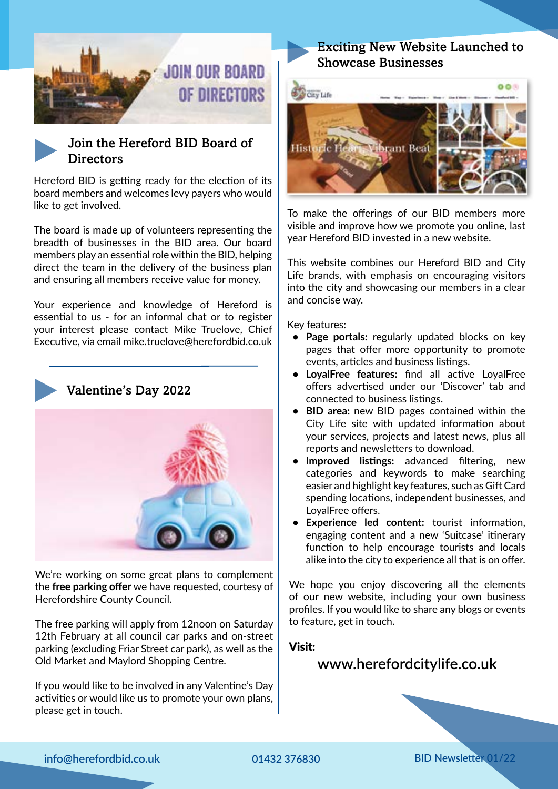



Hereford BID is getting ready for the election of its board members and welcomes levy payers who would like to get involved.

The board is made up of volunteers representing the breadth of businesses in the BID area. Our board members play an essential role within the BID, helping direct the team in the delivery of the business plan and ensuring all members receive value for money.

Your experience and knowledge of Hereford is essential to us - for an informal chat or to register your interest please contact Mike Truelove, Chief Executive, via email mike.truelove@herefordbid.co.uk



#### Valentine's Day 2022



We're working on some great plans to complement the **free parking offer** we have requested, courtesy of Herefordshire County Council.

The free parking will apply from 12noon on Saturday 12th February at all council car parks and on-street parking (excluding Friar Street car park), as well as the Old Market and Maylord Shopping Centre.

If you would like to be involved in any Valentine's Day activities or would like us to promote your own plans, please get in touch.

## Exciting New Website Launched to Showcase Businesses



To make the offerings of our BID members more visible and improve how we promote you online, last year Hereford BID invested in a new website.

This website combines our Hereford BID and City Life brands, with emphasis on encouraging visitors into the city and showcasing our members in a clear and concise way.

Key features:

- **• Page portals:** regularly updated blocks on key pages that offer more opportunity to promote events, articles and business listings.
- **• LoyalFree features:** find all active LoyalFree offers advertised under our 'Discover' tab and connected to business listings.
- **• BID area:** new BID pages contained within the City Life site with updated information about your services, projects and latest news, plus all reports and newsletters to download.
- **• Improved listings:** advanced filtering, new categories and keywords to make searching easier and highlight key features, such as Gift Card spending locations, independent businesses, and LoyalFree offers.
- **• Experience led content:** tourist information, engaging content and a new 'Suitcase' itinerary function to help encourage tourists and locals alike into the city to experience all that is on offer.

We hope you enjoy discovering all the elements of our new website, including your own business profiles. If you would like to share any blogs or events to feature, get in touch.

#### Visit:

# **www.herefordcitylife.co.uk**